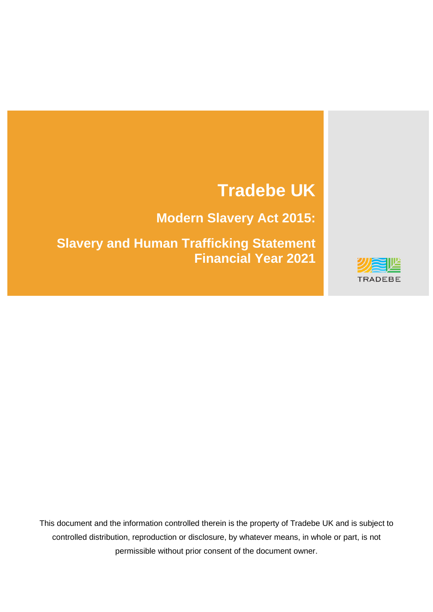# **Tradebe UK**

**Modern Slavery Act 2015:**

**Slavery and Human Trafficking Statement Financial Year 2021**



This document and the information controlled therein is the property of Tradebe UK and is subject to controlled distribution, reproduction or disclosure, by whatever means, in whole or part, is not permissible without prior consent of the document owner.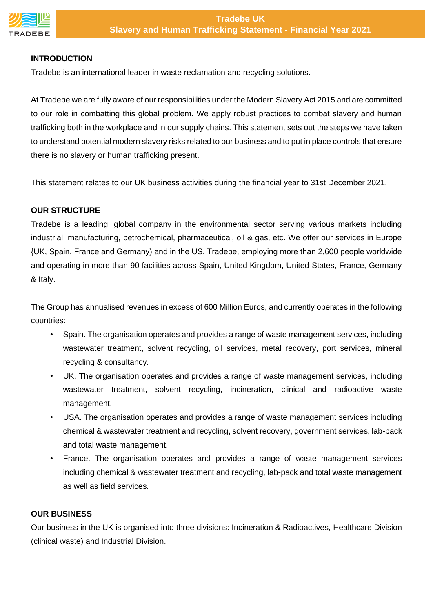

## **INTRODUCTION**

Tradebe is an international leader in waste reclamation and recycling solutions.

At Tradebe we are fully aware of our responsibilities under the Modern Slavery Act 2015 and are committed to our role in combatting this global problem. We apply robust practices to combat slavery and human trafficking both in the workplace and in our supply chains. This statement sets out the steps we have taken to understand potential modern slavery risks related to our business and to put in place controls that ensure there is no slavery or human trafficking present.

This statement relates to our UK business activities during the financial year to 31st December 2021.

## **OUR STRUCTURE**

Tradebe is a leading, global company in the environmental sector serving various markets including industrial, manufacturing, petrochemical, pharmaceutical, oil & gas, etc. We offer our services in Europe {UK, Spain, France and Germany) and in the US. Tradebe, employing more than 2,600 people worldwide and operating in more than 90 facilities across Spain, United Kingdom, United States, France, Germany & Italy.

The Group has annualised revenues in excess of 600 Million Euros, and currently operates in the following countries:

- Spain. The organisation operates and provides a range of waste management services, including wastewater treatment, solvent recycling, oil services, metal recovery, port services, mineral recycling & consultancy.
- UK. The organisation operates and provides a range of waste management services, including wastewater treatment, solvent recycling, incineration, clinical and radioactive waste management.
- USA. The organisation operates and provides a range of waste management services including chemical & wastewater treatment and recycling, solvent recovery, government services, lab-pack and total waste management.
- France. The organisation operates and provides a range of waste management services including chemical & wastewater treatment and recycling, lab-pack and total waste management as well as field services.

#### **OUR BUSINESS**

Our business in the UK is organised into three divisions: Incineration & Radioactives, Healthcare Division (clinical waste) and Industrial Division.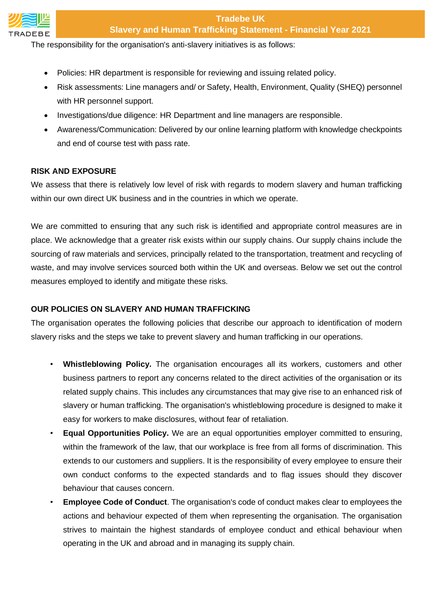

#### **Tradebe UK Slavery and Human Trafficking Statement - Financial Year 2021**

The responsibility for the organisation's anti-slavery initiatives is as follows:

- Policies: HR department is responsible for reviewing and issuing related policy.
- Risk assessments: Line managers and/ or Safety, Health, Environment, Quality (SHEQ) personnel with HR personnel support.
- Investigations/due diligence: HR Department and line managers are responsible.
- Awareness/Communication: Delivered by our online learning platform with knowledge checkpoints and end of course test with pass rate.

#### **RISK AND EXPOSURE**

We assess that there is relatively low level of risk with regards to modern slavery and human trafficking within our own direct UK business and in the countries in which we operate.

We are committed to ensuring that any such risk is identified and appropriate control measures are in place. We acknowledge that a greater risk exists within our supply chains. Our supply chains include the sourcing of raw materials and services, principally related to the transportation, treatment and recycling of waste, and may involve services sourced both within the UK and overseas. Below we set out the control measures employed to identify and mitigate these risks.

## **OUR POLICIES ON SLAVERY AND HUMAN TRAFFICKING**

The organisation operates the following policies that describe our approach to identification of modern slavery risks and the steps we take to prevent slavery and human trafficking in our operations.

- **Whistleblowing Policy.** The organisation encourages all its workers, customers and other business partners to report any concerns related to the direct activities of the organisation or its related supply chains. This includes any circumstances that may give rise to an enhanced risk of slavery or human trafficking. The organisation's whistleblowing procedure is designed to make it easy for workers to make disclosures, without fear of retaliation.
- **Equal Opportunities Policy.** We are an equal opportunities employer committed to ensuring, within the framework of the law, that our workplace is free from all forms of discrimination. This extends to our customers and suppliers. It is the responsibility of every employee to ensure their own conduct conforms to the expected standards and to flag issues should they discover behaviour that causes concern.
- **Employee Code of Conduct**. The organisation's code of conduct makes clear to employees the actions and behaviour expected of them when representing the organisation. The organisation strives to maintain the highest standards of employee conduct and ethical behaviour when operating in the UK and abroad and in managing its supply chain.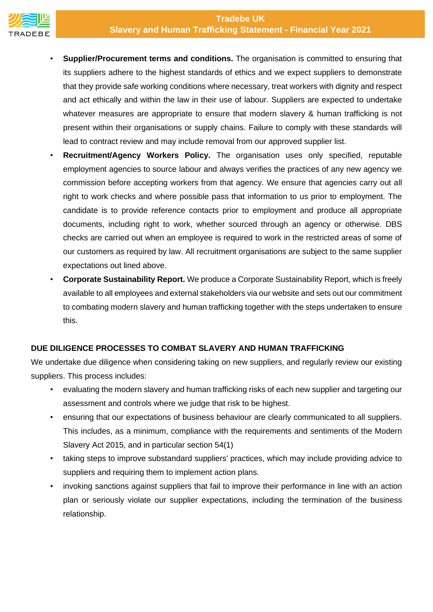# **Tradebe UK Slavery and Human Trafficking Statement - Financial Year 2021**



- **Supplier/Procurement terms and conditions.** The organisation is committed to ensuring that its suppliers adhere to the highest standards of ethics and we expect suppliers to demonstrate that they provide safe working conditions where necessary, treat workers with dignity and respect and act ethically and within the law in their use of labour. Suppliers are expected to undertake whatever measures are appropriate to ensure that modern slavery & human trafficking is not present within their organisations or supply chains. Failure to comply with these standards will lead to contract review and may include removal from our approved supplier list.
- **Recruitment/Agency Workers Policy.** The organisation uses only specified, reputable employment agencies to source labour and always verifies the practices of any new agency we commission before accepting workers from that agency. We ensure that agencies carry out all right to work checks and where possible pass that information to us prior to employment. The candidate is to provide reference contacts prior to employment and produce all appropriate documents, including right to work, whether sourced through an agency or otherwise. DBS checks are carried out when an employee is required to work in the restricted areas of some of our customers as required by law. All recruitment organisations are subject to the same supplier expectations out lined above.
- **Corporate Sustainability Report.** We produce a Corporate Sustainability Report, which is freely available to all employees and external stakeholders via our website and sets out our commitment to combating modern slavery and human trafficking together with the steps undertaken to ensure this.

# **DUE DILIGENCE PROCESSES TO COMBAT SLAVERY AND HUMAN TRAFFICKING**

We undertake due diligence when considering taking on new suppliers, and regularly review our existing suppliers. This process includes:

- evaluating the modern slavery and human trafficking risks of each new supplier and targeting our assessment and controls where we judge that risk to be highest.
- ensuring that our expectations of business behaviour are clearly communicated to all suppliers. This includes, as a minimum, compliance with the requirements and sentiments of the Modern Slavery Act 2015, and in particular section 54(1)
- taking steps to improve substandard suppliers' practices, which may include providing advice to suppliers and requiring them to implement action plans.
- invoking sanctions against suppliers that fail to improve their performance in line with an action plan or seriously violate our supplier expectations, including the termination of the business relationship.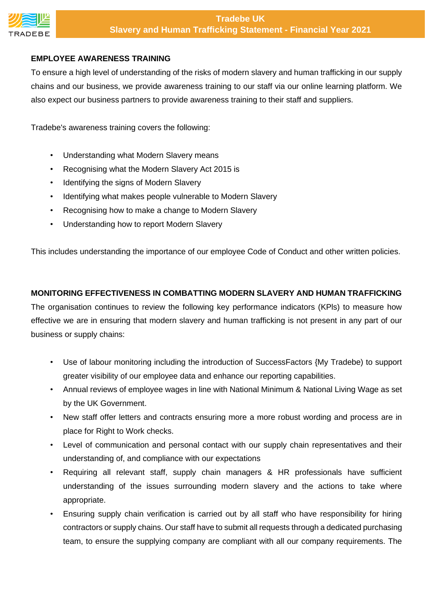

# **EMPLOYEE AWARENESS TRAINING**

To ensure a high level of understanding of the risks of modern slavery and human trafficking in our supply chains and our business, we provide awareness training to our staff via our online learning platform. We also expect our business partners to provide awareness training to their staff and suppliers.

Tradebe's awareness training covers the following:

- Understanding what Modern Slavery means
- Recognising what the Modern Slavery Act 2015 is
- Identifying the signs of Modern Slavery
- Identifying what makes people vulnerable to Modern Slavery
- Recognising how to make a change to Modern Slavery
- Understanding how to report Modern Slavery

This includes understanding the importance of our employee Code of Conduct and other written policies.

#### **MONITORING EFFECTIVENESS IN COMBATTING MODERN SLAVERY AND HUMAN TRAFFICKING**

The organisation continues to review the following key performance indicators (KPls) to measure how effective we are in ensuring that modern slavery and human trafficking is not present in any part of our business or supply chains:

- Use of labour monitoring including the introduction of SuccessFactors {My Tradebe) to support greater visibility of our employee data and enhance our reporting capabilities.
- Annual reviews of employee wages in line with National Minimum & National Living Wage as set by the UK Government.
- New staff offer letters and contracts ensuring more a more robust wording and process are in place for Right to Work checks.
- Level of communication and personal contact with our supply chain representatives and their understanding of, and compliance with our expectations
- Requiring all relevant staff, supply chain managers & HR professionals have sufficient understanding of the issues surrounding modern slavery and the actions to take where appropriate.
- Ensuring supply chain verification is carried out by all staff who have responsibility for hiring contractors or supply chains. Our staff have to submit all requests through a dedicated purchasing team, to ensure the supplying company are compliant with all our company requirements. The